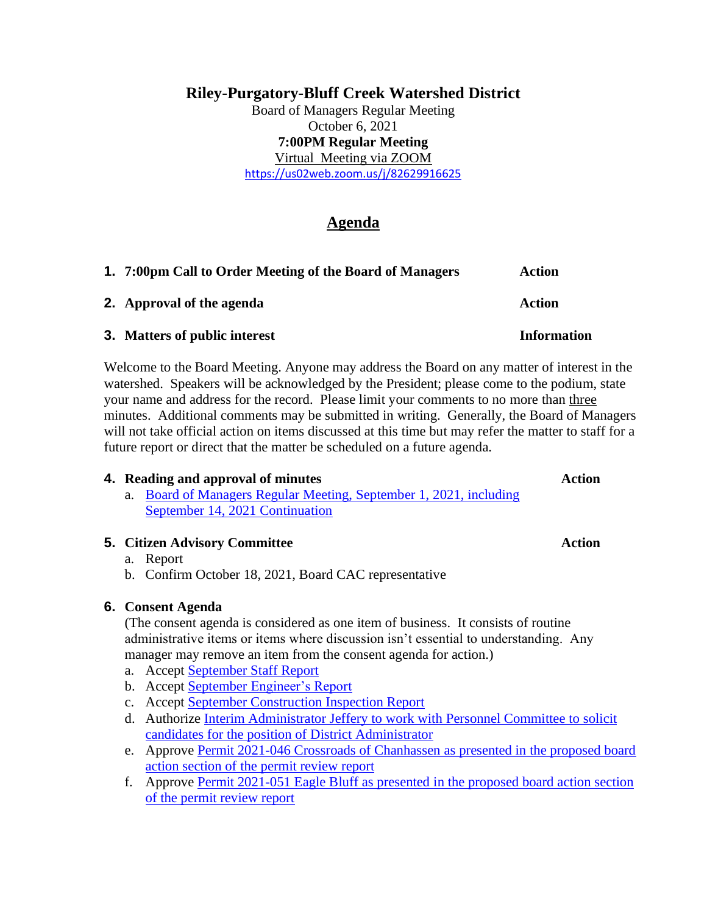# **Riley-Purgatory-Bluff Creek Watershed District**

Board of Managers Regular Meeting October 6, 2021 **7:00PM Regular Meeting** Virtual Meeting via ZOOM <https://us02web.zoom.us/j/82629916625>

# **Agenda**

| 1. 7:00pm Call to Order Meeting of the Board of Managers | Action             |
|----------------------------------------------------------|--------------------|
| <b>2.</b> Approval of the agenda                         | Action             |
| <b>3.</b> Matters of public interest                     | <b>Information</b> |

Welcome to the Board Meeting. Anyone may address the Board on any matter of interest in the watershed. Speakers will be acknowledged by the President; please come to the podium, state your name and address for the record. Please limit your comments to no more than three minutes. Additional comments may be submitted in writing. Generally, the Board of Managers will not take official action on items discussed at this time but may refer the matter to staff for a future report or direct that the matter be scheduled on a future agenda.

# **4. Reading and approval of minutes Action**

a. [Board of Managers Regular Meeting, September 1, 2021,](https://rpbcwd.org/application/files/1016/3303/1974/4a_Draft_Sept_Minutes.pdf) including [September 14, 2021](https://rpbcwd.org/application/files/1016/3303/1974/4a_Draft_Sept_Minutes.pdf) Continuation

### **5. Citizen Advisory Committee Action**

### a. Report

b. Confirm October 18, 2021, Board CAC representative

# **6. Consent Agenda**

(The consent agenda is considered as one item of business. It consists of routine administrative items or items where discussion isn't essential to understanding. Any manager may remove an item from the consent agenda for action.)

- a. Accept September [Staff Report](https://rpbcwd.org/download_file/1893/0)
- b. Accept September [Engineer's Report](https://rpbcwd.org/application/files/6516/3303/1698/6b_SEPT2021_-_Engr_Rpt_to_RPBCWD.pdf)
- c. Accept September [Construction Inspection Report](https://rpbcwd.org/application/files/6416/3310/4777/6c_2021-09_InspectionReport.pdf)
- d. Authorize [Interim Administrator Jeffery to work with Personnel Committee to solicit](https://rpbcwd.org/application/files/4116/3310/4820/6d_Administrator-Position-Description.pdf)  [candidates for the position of District Administrator](https://rpbcwd.org/application/files/4116/3310/4820/6d_Administrator-Position-Description.pdf)
- e. Approve [Permit 2021-046 Crossroads of Chanhassen as presented in the proposed board](https://rpbcwd.org/application/files/9216/3303/1701/6e_2021-046_Crossroads_of_Chanhassen_20210930_packet1.pdf)  [action section of the permit review report](https://rpbcwd.org/application/files/9216/3303/1701/6e_2021-046_Crossroads_of_Chanhassen_20210930_packet1.pdf)
- f. Approve [Permit 2021-051 Eagle Bluff as presented in the proposed board action section](https://rpbcwd.org/application/files/9116/3303/1703/6f_2021-051_EagleBluff20210927_packet.pdf)  [of the permit review report](https://rpbcwd.org/application/files/9116/3303/1703/6f_2021-051_EagleBluff20210927_packet.pdf)